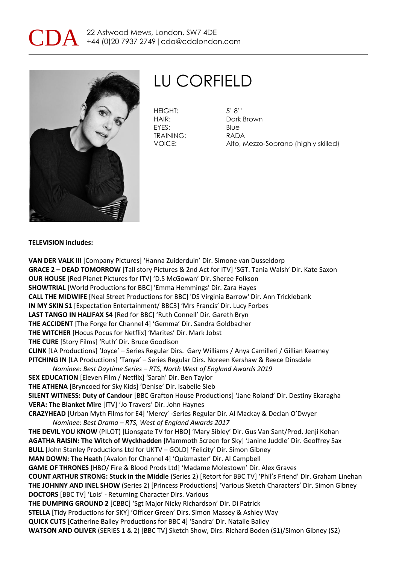



# LU CORFIELD

HEIGHT: 5' 8'' EYES: Blue TRAINING: RADA

HAIR: Dark Brown VOICE: Alto, Mezzo-Soprano (highly skilled)

#### **TELEVISION includes:**

**VAN DER VALK III** [Company Pictures] 'Hanna Zuiderduin' Dir. Simone van Dusseldorp **GRACE 2 – DEAD TOMORROW** [Tall story Pictures & 2nd Act for ITV] 'SGT. Tania Walsh' Dir. Kate Saxon **OUR HOUSE** [Red Planet Pictures for ITV] 'D.S McGowan' Dir. Sheree Folkson **SHOWTRIAL** [World Productions for BBC] 'Emma Hemmings' Dir. Zara Hayes **CALL THE MIDWIFE** [Neal Street Productions for BBC] 'DS Virginia Barrow' Dir. Ann Tricklebank **IN MY SKIN S1** [Expectation Entertainment/ BBC3] 'Mrs Francis' Dir. Lucy Forbes **LAST TANGO IN HALIFAX S4** [Red for BBC] 'Ruth Connell' Dir. Gareth Bryn **THE ACCIDENT** [The Forge for Channel 4] 'Gemma' Dir. Sandra Goldbacher **THE WITCHER** [Hocus Pocus for Netflix] 'Marites' Dir. Mark Jobst **THE CURE** [Story Films] 'Ruth' Dir. Bruce Goodison **CLINK** [LA Productions] 'Joyce' – Series Regular Dirs. Gary Williams / Anya Camilleri / Gillian Kearney **PITCHING IN** [LA Productions] 'Tanya' – Series Regular Dirs. Noreen Kershaw & Reece Dinsdale *Nominee: Best Daytime Series – RTS, North West of England Awards 2019* **SEX EDUCATION** [Eleven Film / Netflix] 'Sarah' Dir. Ben Taylor **THE ATHENA** [Bryncoed for Sky Kids] 'Denise' Dir. Isabelle Sieb **SILENT WITNESS: Duty of Candour** [BBC Grafton House Productions] 'Jane Roland' Dir. Destiny Ekaragha **VERA: The Blanket Mire** [ITV] 'Jo Travers' Dir. John Haynes **CRAZYHEAD** [Urban Myth Films for E4] 'Mercy' -Series Regular Dir. Al Mackay & Declan O'Dwyer *Nominee: Best Drama – RTS, West of England Awards 2017* **THE DEVIL YOU KNOW** (PILOT) [Lionsgate TV for HBO] 'Mary Sibley' Dir. Gus Van Sant/Prod. Jenji Kohan **AGATHA RAISIN: The Witch of Wyckhadden** [Mammoth Screen for Sky] 'Janine Juddle' Dir. Geoffrey Sax **BULL** [John Stanley Productions Ltd for UKTV – GOLD] 'Felicity' Dir. Simon Gibney **MAN DOWN: The Heath** [Avalon for Channel 4] 'Quizmaster' Dir. Al Campbell **GAME OF THRONES** [HBO/ Fire & Blood Prods Ltd] 'Madame Molestown' Dir. Alex Graves **COUNT ARTHUR STRONG: Stuck in the Middle** (Series 2) [Retort for BBC TV] 'Phil's Friend' Dir. Graham Linehan **THE JOHNNY AND INEL SHOW** (Series 2) [Princess Productions] 'Various Sketch Characters' Dir. Simon Gibney **DOCTORS** [BBC TV] 'Lois' - Returning Character Dirs. Various **THE DUMPING GROUND 2** [CBBC] 'Sgt Major Nicky Richardson' Dir. Di Patrick **STELLA** [Tidy Productions for SKY] 'Officer Green' Dirs. Simon Massey & Ashley Way **QUICK CUTS** [Catherine Bailey Productions for BBC 4] 'Sandra' Dir. Natalie Bailey **WATSON AND OLIVER** (SERIES 1 & 2) [BBC TV] Sketch Show, Dirs. Richard Boden (S1)/Simon Gibney (S2)